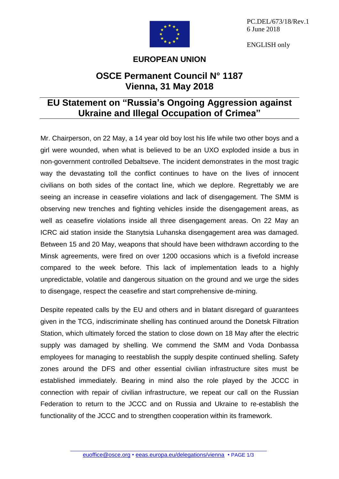

PC.DEL/673/18/Rev.1 6 June 2018

ENGLISH only

## **EUROPEAN UNION**

## **OSCE Permanent Council N° 1187 Vienna, 31 May 2018**

## **EU Statement on "Russia's Ongoing Aggression against Ukraine and Illegal Occupation of Crimea"**

Mr. Chairperson, on 22 May, a 14 year old boy lost his life while two other boys and a girl were wounded, when what is believed to be an UXO exploded inside a bus in non-government controlled Debaltseve. The incident demonstrates in the most tragic way the devastating toll the conflict continues to have on the lives of innocent civilians on both sides of the contact line, which we deplore. Regrettably we are seeing an increase in ceasefire violations and lack of disengagement. The SMM is observing new trenches and fighting vehicles inside the disengagement areas, as well as ceasefire violations inside all three disengagement areas. On 22 May an ICRC aid station inside the Stanytsia Luhanska disengagement area was damaged. Between 15 and 20 May, weapons that should have been withdrawn according to the Minsk agreements, were fired on over 1200 occasions which is a fivefold increase compared to the week before. This lack of implementation leads to a highly unpredictable, volatile and dangerous situation on the ground and we urge the sides to disengage, respect the ceasefire and start comprehensive de-mining.

Despite repeated calls by the EU and others and in blatant disregard of guarantees given in the TCG, indiscriminate shelling has continued around the Donetsk Filtration Station, which ultimately forced the station to close down on 18 May after the electric supply was damaged by shelling. We commend the SMM and Voda Donbassa employees for managing to reestablish the supply despite continued shelling. Safety zones around the DFS and other essential civilian infrastructure sites must be established immediately. Bearing in mind also the role played by the JCCC in connection with repair of civilian infrastructure, we repeat our call on the Russian Federation to return to the JCCC and on Russia and Ukraine to re-establish the functionality of the JCCC and to strengthen cooperation within its framework.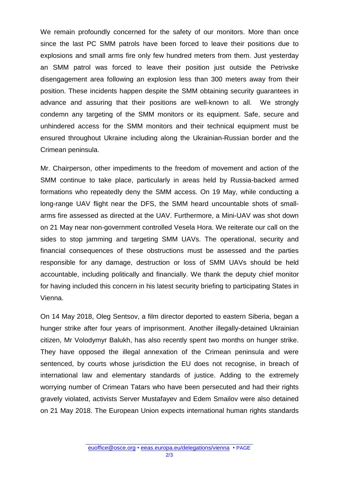We remain profoundly concerned for the safety of our monitors. More than once since the last PC SMM patrols have been forced to leave their positions due to explosions and small arms fire only few hundred meters from them. Just yesterday an SMM patrol was forced to leave their position just outside the Petrivske disengagement area following an explosion less than 300 meters away from their position. These incidents happen despite the SMM obtaining security guarantees in advance and assuring that their positions are well-known to all. We strongly condemn any targeting of the SMM monitors or its equipment. Safe, secure and unhindered access for the SMM monitors and their technical equipment must be ensured throughout Ukraine including along the Ukrainian-Russian border and the Crimean peninsula.

Mr. Chairperson, other impediments to the freedom of movement and action of the SMM continue to take place, particularly in areas held by Russia-backed armed formations who repeatedly deny the SMM access. On 19 May, while conducting a long-range UAV flight near the DFS, the SMM heard uncountable shots of smallarms fire assessed as directed at the UAV. Furthermore, a Mini-UAV was shot down on 21 May near non-government controlled Vesela Hora. We reiterate our call on the sides to stop jamming and targeting SMM UAVs. The operational, security and financial consequences of these obstructions must be assessed and the parties responsible for any damage, destruction or loss of SMM UAVs should be held accountable, including politically and financially. We thank the deputy chief monitor for having included this concern in his latest security briefing to participating States in Vienna.

On 14 May 2018, Oleg Sentsov, a film director deported to eastern Siberia, began a hunger strike after four years of imprisonment. Another illegally-detained Ukrainian citizen, Mr Volodymyr Balukh, has also recently spent two months on hunger strike. They have opposed the illegal annexation of the Crimean peninsula and were sentenced, by courts whose jurisdiction the EU does not recognise, in breach of international law and elementary standards of justice. Adding to the extremely worrying number of Crimean Tatars who have been persecuted and had their rights gravely violated, activists Server Mustafayev and Edem Smailov were also detained on 21 May 2018. The European Union expects international human rights standards